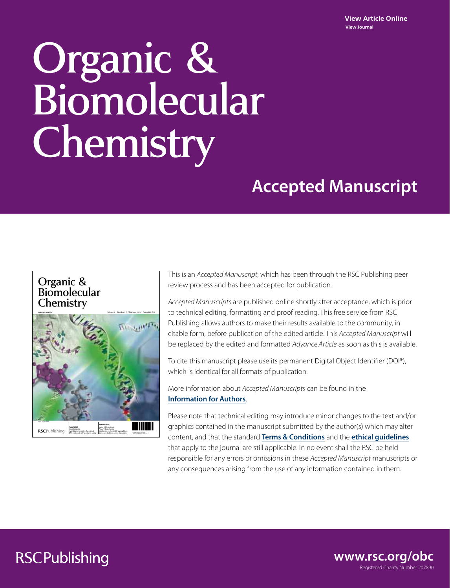# Organic & Biomolecular Chemistry

# **Accepted Manuscript**



This is an Accepted Manuscript, which has been through the RSC Publishing peer review process and has been accepted for publication.

Accepted Manuscripts are published online shortly after acceptance, which is prior to technical editing, formatting and proof reading. This free service from RSC Publishing allows authors to make their results available to the community, in citable form, before publication of the edited article. This Accepted Manuscript will be replaced by the edited and formatted Advance Article as soon as this is available.

To cite this manuscript please use its permanent Digital Object Identifier (DOI®), which is identical for all formats of publication.

More information about Accepted Manuscripts can be found in the **Information for Authors**.

Please note that technical editing may introduce minor changes to the text and/or graphics contained in the manuscript submitted by the author(s) which may alter content, and that the standard **Terms & Conditions** and the **ethical guidelines** that apply to the journal are still applicable. In no event shall the RSC be held responsible for any errors or omissions in these Accepted Manuscript manuscripts or any consequences arising from the use of any information contained in them.

# **RSCPublishing**

Registered Charity Number 207890 **www.rsc.org/obc**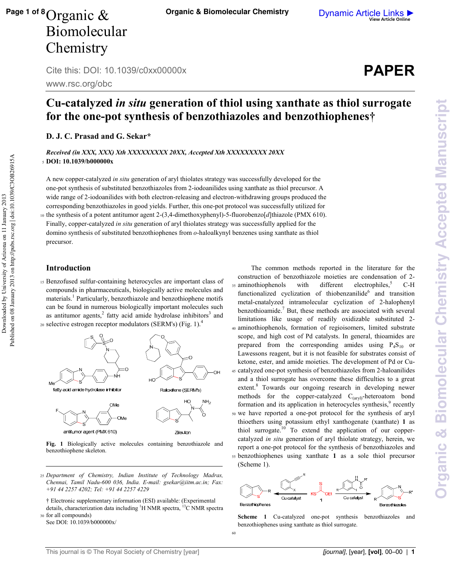## Cu-catalyzed *in situ* generation of thiol using xanthate as thiol surrogate for the one-pot synthesis of benzothiazoles and benzothiophenes†

**Paganic & Biomolecular Chemistry** 

**D. J. C. Prasad and G. Sekar\*** 

Received (in XXX, XXX) Xth XXXXXXXXX 20XX, Accepted Xth XXXXXXXX 20XX  $_5$  **DOI: 10.1039/b0000000x** 

A new coppercatalyzed *in situ* generation of aryl thiolates strategy was successfully developed for the onepot synthesis of substituted benzothiazoles from 2iodoanilides using xanthate as thiol precursor. A wide range of 2-iodoanilides with both electron-releasing and electron-withdrawing groups produced the corresponding benzothiazoles in good yields. Further, this onepot protocol was successfully utilized for 10 the synthesis of a potent antitumor agent 2-(3,4-dimethoxyphenyl)-5-fluorobenzo[*d*]thiazole (PMX 610).

Finally, copper-catalyzed *in situ* generation of aryl thiolates strategy was successfully applied for the domino synthesis of substituted benzothiophenes from *o*haloalkynyl benzenes using xanthate as thiol precursor.

#### **Introduction**

Downloaded by University of Arizona on 11 January 2013

Downloaded by University of Arizona on 11 January 2013

Published on 08 January 2013 on http://pubs.rsc.org | doi:10.1039/C3OB26915A

Published on 08 January 2013 on http://pubs.rsc.org | doi:10.1039/C3OB26915A

15 Benzofused sulfur-containing heterocycles are important class of compounds in pharmaceuticals, biologically active molecules and materials.<sup>1</sup> Particularly, benzothiazole and benzothiophene motifs can be found in numerous biologically important molecules such as antitumor agents, $2$  fatty acid amide hydrolase inhibitors $3$  and 20 selective estrogen receptor modulators (SERM's) (Fig. 1). $^{4}$ 



antitumor agent (PMX 610)



Fig. 1 Biologically active molecules containing benzothiazole and benzothiophene skeleton.

- <sup>25</sup>*Department of Chemistry, Indian Institute of Technology Madras, Chennai, Tamil Nadu600 036, India. Email: gsekar@iitm.ac.in; Fax: +91 44 2257 4202; Tel: +91 44 2257 4229*
- † Electronic supplementary information (ESI) available: (Experimental details, characterization data including  ${}^{1}$ H NMR spectra,  ${}^{13}$ C NMR spectra 30 for all compounds)
- See DOI: 10.1039/b000000x/

construction of benzothiazole moieties are condensation of 2 35 aminothiophenols with different electrophiles,  $^5$  C-H functionalized cyclization of thiobenzanilide<sup>6</sup> and transition metal-cnatalyzed intramolecular cyclization of 2-halophenyl benzothioamide.<sup>7</sup> But, these methods are associated with several limitations like usage of readily oxidizable substituted 2 <sup>40</sup>aminothiophenols, formation of regioisomers, limited substrate scope, and high cost of Pd catalysts. In general, thioamides are prepared from the corresponding amides using  $P_4S_{10}$  or Lawessons reagent, but it is not feasible for substrates consist of ketone, ester, and amide moieties. The development of Pd or Cu 45 catalyzed one-pot synthesis of benzothiazoles from 2-haloanilides and a thiol surrogate has overcome these difficulties to a great extent.<sup>8</sup> Towards our ongoing research in developing newer methods for the copper-catalyzed  $C_{(arvl)}$ -heteroatom bond formation and its application in heterocycles synthesis,<sup>9</sup> recently <sup>50</sup>we have reported a onepot protocol for the synthesis of aryl thioethers using potassium ethyl xanthogenate (xanthate) **\$** as thiol surrogate.<sup>10</sup> To extend the application of our coppercatalyzed *in situ* generation of aryl thiolate strategy, herein, we report a one-pot protocol for the synthesis of benzothiazoles and <sup>55</sup>benzothiophenes using xanthate **\$** as a sole thiol precursor (Scheme 1).

The common methods reported in the literature for the



**Scheme 1** Cu-catalyzed one-pot synthesis benzothiazoles and benzothiophenes using xanthate as thiol surrogate.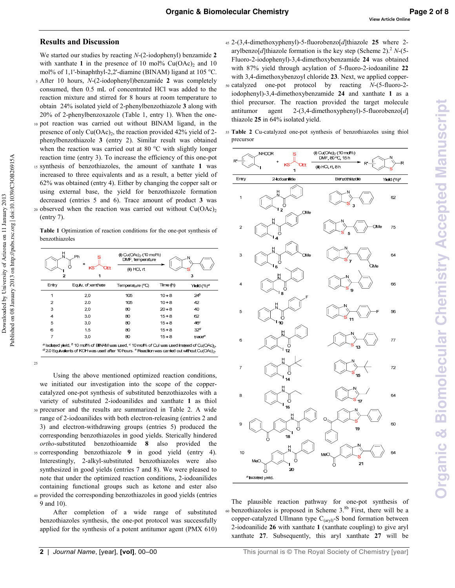#### **Results and Discussion**

We started our studies by reacting *N*-(2-iodophenyl) benzamide **2** with xanthate 1 in the presence of 10 mol%  $Cu(OAc)<sub>2</sub>$  and 10 mol% of 1,1'-binaphthyl-2,2'-diamine (BINAM) ligand at 105  $^{\circ}$ C. 5 After 10 hours, *N*-(2-iodophenyl)benzamide 2 was completely consumed, then 0.5 mL of concentrated HCl was added to the reaction mixture and stirred for 8 hours at room temperature to

obtain 24% isolated yield of 2-phenylbenzothiazole 3 along with  $20\%$  of 2-phenylbenzoxazole (Table 1, entry 1). When the one-10 pot reaction was carried out without BINAM ligand, in the presence of only  $Cu(OAc)_2$ , the reaction provided 42% yield of 2phenylbenzothiazole **&** (entry 2). Similar result was obtained when the reaction was carried out at 80  $^{\circ}$ C with slightly longer reaction time (entry 3). To increase the efficiency of this one-pot <sup>15</sup>synthesis of benzothiazoles, the amount of xanthate **\$** was increased to three equivalents and as a result, a better yield of 62% was obtained (entry 4). Either by changing the copper salt or using external base, the yield for benzothiazole formation decreased (entries 5 and 6). Trace amount of product **&** was 20 observed when the reaction was carried out without  $Cu(OAc)_{2}$ (entry 7).

Table 1 Optimization of reaction conditions for the one-pot synthesis of benzothiazoles

| Ph<br>κs<br>OEt                                                                                                                                                                                                                                                  |                    | (i) Cu(OAc) <sub>2</sub> (10 mol%)<br>DMF, temperature<br>(ii) HCl, rt<br>3 |          |                        |
|------------------------------------------------------------------------------------------------------------------------------------------------------------------------------------------------------------------------------------------------------------------|--------------------|-----------------------------------------------------------------------------|----------|------------------------|
| Entry                                                                                                                                                                                                                                                            | Equiv. of xanthate | Temperature (°C)                                                            | Time (h) | Yield (%) <sup>a</sup> |
|                                                                                                                                                                                                                                                                  | 2.0                | 105                                                                         | $10 + 8$ | 24 <sup>b</sup>        |
| 2                                                                                                                                                                                                                                                                | 2,0                | 105                                                                         | $10 + 8$ | 42                     |
| 3                                                                                                                                                                                                                                                                | 2.0                | 80                                                                          | $20 + 8$ | 40                     |
| 4                                                                                                                                                                                                                                                                | 3.0                | 80                                                                          | $15 + 8$ | 62                     |
| 5                                                                                                                                                                                                                                                                | 3.0                | 80                                                                          | $15 + 8$ | 46°                    |
| 6                                                                                                                                                                                                                                                                | 1.5                | 80                                                                          | $15 + 8$ | 32 <sup>d</sup>        |
| 7                                                                                                                                                                                                                                                                | 3.0                | 80                                                                          | $15 + 8$ | trace®                 |
| <sup>a</sup> Isolated yield. <sup>b</sup> 10 mol% of BINAM was used. <sup>c</sup> 10 mol% of Cul was used instead of Cu(OAc) <sub>2</sub> .<br>$^d$ 2.0 Equivalents of KOH was used after 10 hours. $^e$ Reaction was carried out without Cu(OAc) <sub>2</sub> . |                    |                                                                             |          |                        |

25

Downloaded by University of Arizona on 11 January 2013

Downloaded by University of Arizona on 11 January 2013

Published on 08 January 2013 on http://pubs.rsc.org | doi:10.1039/C3OB26915A

Published on 08 January 2013 on http://pubs.rsc.org | doi:10.1039/C3OB26915A

Using the above mentioned optimized reaction conditions, we initiated our investigation into the scope of the copper catalyzed one-pot synthesis of substituted benzothiazoles with a variety of substituted 2-iodoanilides and xanthate 1 as thiol 30 precursor and the results are summarized in Table 2. A wide range of 2-iodoanilides with both electron-releasing (entries 2 and 3) and electron-withdrawing groups (entries 5) produced the corresponding benzothiazoles in good yields. Sterically hindered *ortho*substituted benzothioamide **.** also provided the <sup>35</sup>corresponding benzothiazole **'** in good yield (entry 4). Interestingly, 2-alkyl-substituted benzothiazoles were also synthesized in good yields (entries 7 and 8). We were pleased to note that under the optimized reaction conditions, 2-iodoanilides containing functional groups such as ketone and ester also

<sup>40</sup>provided the corresponding benzothiazoles in good yields (entries 9 and 10).

After completion of a wide range of substituted benzothiazoles synthesis, the one-pot protocol was successfully applied for the synthesis of a potent antitumor agent (PMX 610)

- 45 2-(3,4-dimethoxyphenyl)-5-fluorobenzo[d]thiazole 25 where 2arylbenzo[*d*]thiazole formation is the key step (Scheme 2).<sup>2</sup> *N*-(5-Fluoro-2-iodophenyl)-3,4-dimethoxybenzamide 24 was obtained with 87% yield through acylation of 5-fluoro-2-iodoaniline 22 with 3,4-dimethoxybenzoyl chloride 23. Next, we applied copper-50 catalyzed one-pot protocol by reacting *N*-(5-fluoro-2iodophenyl)-3,4-dimethoxybenzamide 24 and xanthate 1 as a thiol precursor. The reaction provided the target molecule
- antitumor agent 2-(3,4-dimethoxyphenyl)-5-fluorobenzo[d] thiazole 25 in 64% isolated yield. 55 Table 2 Cu-catalyzed one-pot synthesis of benzothiazoles using thiol



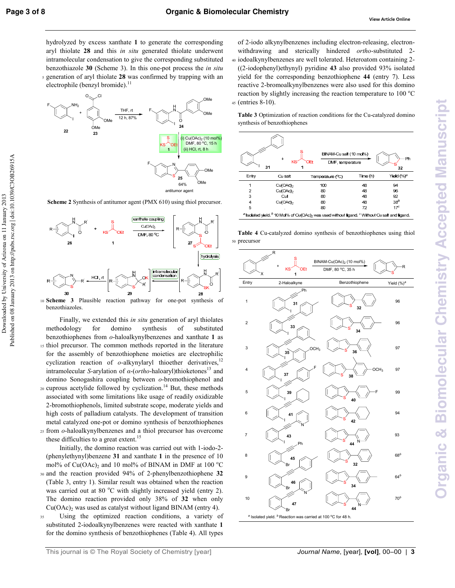Downloaded by University of Arizona on 11 January 2013

Downloaded by University of Arizona on 11 January 2013

Published on 08 January 2013 on http://pubs.rsc.org | doi:10.1039/C3OB26915A

Published on 08 January 2013 on http://pubs.rsc.org | doi:10.1039/C3OB26915A

hydrolyzed by excess xanthate 1 to generate the corresponding aryl thiolate 28 and this *in situ* generated thiolate underwent intramolecular condensation to give the corresponding substituted benzothiazole 30 (Scheme 3). In this one-pot process the *in situ* 5 generation of aryl thiolate 28 was confirmed by trapping with an electrophile (benzyl bromide).<sup>11</sup>



**Scheme 2** Synthesis of antitumor agent (PMX 610) using thiol precursor.



10 **Scheme 3** Plausible reaction pathway for one-pot synthesis of benzothiazoles.

- Finally, we extended this *in situ* generation of aryl thiolates methodology for domino synthesis of substituted benzothiophenes from *o*haloalkynylbenzenes and xanthate **\$** as 15 thiol precursor. The common methods reported in the literature for the assembly of benzothiophene moieties are electrophilic cyclization reaction of  $o$ -alkynylaryl thioether derivatives,<sup>12</sup> intramolecular *S*-arylation of *α*-(*ortho*-haloaryl)thioketones<sup>13</sup> and domino Sonogashira coupling between *o*-bromothiophenol and  $20$  cuprous acetylide followed by cyclization.<sup>14</sup> But, these methods associated with some limitations like usage of readily oxidizable 2bromothiophenols, limited substrate scope, moderate yields and high costs of palladium catalysts. The development of transition metal catalyzed one-pot or domino synthesis of benzothiophenes
- <sup>25</sup>from *o*haloalkynylbenzenes and a thiol precursor has overcome these difficulties to a great extent.<sup>15</sup>

Initially, the domino reaction was carried out with 1-iodo-2-(phenylethynyl)benzene 31 and xanthate 1 in the presence of 10 mol% of  $Cu(OAc)_2$  and 10 mol% of BINAM in DMF at 100 °C <sup>30</sup> and the reaction provided 94% of 2-phenylbenzothiophene 32 (Table 3, entry 1). Similar result was obtained when the reaction

- was carried out at 80 °C with slightly increased yield (entry 2). The domino reaction provided only 38% of 32 when only  $Cu(OAc)<sub>2</sub>$  was used as catalyst without ligand BINAM (entry 4).
- <sup>35</sup>Using the optimized reaction conditions, a variety of substituted 2-iodoalkynylbenzenes were reacted with xanthate 1 for the domino synthesis of benzothiophenes (Table 4). All types

of 2-iodo alkynylbenzenes including electron-releasing, electronwithdrawing and sterically hindered *ortho*-substituted 2-<sup>40</sup>iodoalkynylbenzenes are well tolerated. Heteroatom containing 2 ((2iodophenyl)ethynyl) pyridine **0&** also provided 93% isolated yield for the corresponding benzothiophene 44 (entry 7). Less reactive 2-bromoalkynylbenzenes were also used for this domino reaction by slightly increasing the reaction temperature to  $100\,^{\circ}\text{C}$ 45 (entries 8-10).

Table 3 Optimization of reaction conditions for the Cu-catalyzed domino synthesis of benzothiophenes



<sup>a</sup> Isolated yield. <sup>b</sup> 10 Mol% of Cu(OAc)<sub>2</sub> was used without ligand. <sup>c</sup> Without Cu salt and ligand.

Table 4 Cu-catalyzed domino synthesis of benzothiophenes using thiol 50 precursor

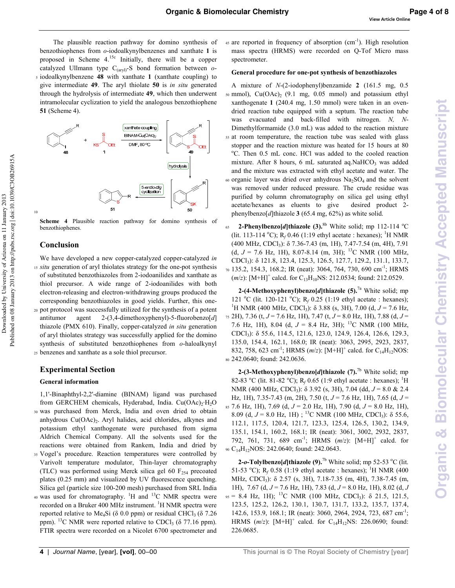The plausible reaction pathway for domino synthesis of benzothiophenes from *o*-iodoalkynylbenzenes and xanthate 1 is proposed in Scheme  $4.15c$  Initially, there will be a copper catalyzed Ullmann type  $C_{(aryl)}$ -S bond formation between  $o$ -<sup>5</sup>iodoalkynylbenzene **0.** with xanthate **\$** (xanthate coupling) to give intermediate 49. The aryl thiolate 50 is *in situ* generated through the hydrolysis of intermediate **0'**, which then underwent intramolecular cyclization to yield the analogous benzothiophene **/\$**(Scheme 4).



**Scheme 4** Plausible reaction pathway for domino synthesis of benzothiophenes.

#### **-**

We have developed a new copper-catalyzed copper-catalyzed *in* 15 *situ* generation of aryl thiolates strategy for the one-pot synthesis of substituted benzothiazoles from 2-iodoanilides and xanthate as thiol precursor. A wide range of 2-iodoanilides with both electron-releasing and electron-withdrawing groups produced the corresponding benzothiazoles in good yields. Further, this one <sup>20</sup>pot protocol was successfully utilized for the synthesis of a potent antitumor agent 2-(3,4-dimethoxyphenyl)-5-fluorobenzo[d] thiazole (PMX 610). Finally, copper-catalyzed *in situ* generation of aryl thiolates strategy was successfully applied for the domino synthesis of substituted benzothiophenes from *o*-haloalkynyl <sup>25</sup>benzenes and xanthate as a sole thiol precursor.

#### **Experimental Section**

#### **General information**

1,1'Binaphthyl2,2'diamine (BINAM) ligand was purchased from GERCHEM chemicals, Hyderabad, India. Cu(OAc)<sub>2</sub>·H<sub>2</sub>O <sup>30</sup>was purchased from Merck, India and oven dried to obtain anhydrous Cu(OAc)<sub>2</sub>. Aryl halides, acid chlorides, alkynes and potassium ethyl xanthogenate were purchased from sigma Aldrich Chemical Company. All the solvents used for the reactions were obtained from Rankem, India and dried by <sup>35</sup>Vogel's procedure. Reaction temperatures were controlled by Varivolt temperature modulator, Thin-layer chromatography (TLC) was performed using Merck silica gel 60  $F<sub>254</sub>$  precoated plates (0.25 mm) and visualized by UV fluorescence quenching. Silica gel (particle size 100-200 mesh) purchased from SRL India

 $40$  was used for chromatography. <sup>1</sup>H and <sup>13</sup>C NMR spectra were recorded on a Bruker 400 MHz instrument. <sup>1</sup>H NMR spectra were reported relative to Me<sub>4</sub>Si ( $\delta$  0.0 ppm) or residual CHCl<sub>3</sub> ( $\delta$  7.26 ppm). <sup>13</sup>C NMR were reported relative to CDCl<sub>3</sub> ( $\delta$  77.16 ppm). FTIR spectra were recorded on a Nicolet 6700 spectrometer and

 $45$  are reported in frequency of absorption (cm<sup>-1</sup>). High resolution mass spectra (HRMS) were recorded on Q-Tof Micro mass spectrometer.

#### General procedure for one-pot synthesis of benzothiazoles

A mixture of *N*-(2-iodophenyl)benzamide **2** (161.5 mg, 0.5)  $50 \text{ mmol}$ , Cu(OAc)<sub>2</sub> (9.1 mg, 0.05 mmol) and potassium ethyl xanthogenate **\$** (240.4 mg, 1.50 mmol) were taken in an oven dried reaction tube equipped with a septum. The reaction tube was evacuated and back-filled with nitrogen. *N*, *N*-Dimethylformamide (3.0 mL) was added to the reaction mixture <sup>55</sup>at room temperature, the reaction tube was sealed with glass stopper and the reaction mixture was heated for 15 hours at 80 <sup>o</sup>C. Then 0.5 mL conc. HCl was added to the cooled reaction mixture. After 8 hours, 6 mL saturated aq.NaHCO<sub>3</sub> was added and the mixture was extracted with ethyl acetate and water. The 60 organic layer was dried over anhydrous  $Na<sub>2</sub>SO<sub>4</sub>$  and the solvent was removed under reduced pressure. The crude residue was purified by column chromatography on silica gel using ethyl acetate/hexanes as eluents to give desired product 2 phenylbenzo[*d*]thiazole **&**(65.4 mg, 62%) as white solid.

**2-Phenylbenzo[d]thiazole (3). <sup>8b</sup>** White solid; mp 112-114 °C (lit. 113-114 °C);  $R_f$  0.46 (1:19 ethyl acetate : hexanes); <sup>1</sup>H NMR (400 MHz, CDCl<sup>3</sup> ): δ 7.367.43 (m, 1H), 7.477.54 (m, 4H), 7.91 (d,  $J = 7.6$  Hz, 1H), 8.07-8.14 (m, 3H); <sup>13</sup>C NMR (100 MHz, CDCl<sup>3</sup> ): δ 121.8, 123.4, 125.3, 126.5, 127.7, 129.2, 131.1, 133.7, 70 135.2, 154.3, 168.2; IR (neat): 3064, 764, 730, 690 cm<sup>-1</sup>; HRMS  $(m/z)$ : [M+H]<sup>+</sup> calcd. for C<sub>13</sub>H<sub>10</sub>NS: 212.0534; found: 212.0529.

**2-(4-Methoxyphenyl)benzo[d]thiazole (5).<sup>7a</sup> White solid; mp** 121 °C (lit. 120-121 °C); R<sub>f</sub> 0.25 (1:19 ethyl acetate : hexanes); <sup>1</sup>H NMR (400 MHz, CDCl<sub>3</sub>): δ 3.88 (s, 3H), 7.00 (d,  $J = 7.6$  Hz, <sup>75</sup>2H), 7.36 (t, *J* = 7.6 Hz, 1H), 7.47 (t, *J* = 8.0 Hz, 1H), 7.88 (d, *J* = 7.6 Hz, 1H), 8.04 (d,  $J = 8.4$  Hz, 3H); <sup>13</sup>C NMR (100 MHz, CDCl<sup>3</sup> ): δ 55.6, 114.5, 121.6, 123.0, 124.9, 126.4, 126.6, 129.3, 135.0, 154.4, 162.1, 168.0; IR (neat): 3063, 2995, 2923, 2837, 832, 758, 623 cm<sup>-1</sup>; HRMS (*m*/*z*): [M+H]<sup>+</sup> calcd. for C<sub>14</sub>H<sub>12</sub>NOS: <sup>80</sup>242.0640; found: 242.0636.

**2-(3-Methoxyphenyl)benzo[d]thiazole (7).<sup>7b</sup> White solid; mp** 82-83 <sup>o</sup>C (lit. 81-82 <sup>o</sup>C); R<sub>f</sub> 0.65 (1:9 ethyl acetate : hexanes); <sup>1</sup>H NMR (400 MHz, CDCl<sub>3</sub>): δ 3.92 (s, 3H), 7.04 (dd, *J* = 8.0 & 2.4 Hz, 1H), 7.357.43 (m, 2H), 7.50 (t, *J* = 7.6 Hz, 1H), 7.65 (d, *J* = <sup>85</sup>7.6 Hz, 1H), 7.69 (d, *J* = 2.0 Hz, 1H), 7.90 (d, *J* = 8.0 Hz, 1H), 8.09 (d,  $J = 8.0$  Hz, 1H); <sup>13</sup>C NMR (100 MHz, CDCl<sub>3</sub>):  $\delta$  55.6, 112.1, 117.5, 120.4, 121.7, 123.3, 125.4, 126.5, 130.2, 134.9, 135.1, 154.1, 160.2, 168.1; IR (neat): 3061, 3002, 2932, 2837, 792, 761, 731, 689 cm<sup>-1</sup>; HRMS (m/z): [M+H]<sup>+</sup> calcd. for 90 C<sub>14</sub>H<sub>12</sub>NOS: 242.0640; found: 242.0643.

**2-o-Tolylbenzo[d]thiazole (9).<sup>7b</sup>** White solid; mp 52-53 <sup>o</sup>C (lit. 51-53 <sup>o</sup>C); R<sub>f</sub> 0.58 (1:19 ethyl acetate : hexanes); <sup>1</sup>H NMR (400 MHz, CDCl<sub>3</sub>): δ 2.57 (s, 3H), 7.18-7.35 (m, 4H), 7.38-7.45 (m, 1H), 7.67 (d, *J* = 7.6 Hz, 1H), 7.83 (d, *J* = 8.0 Hz, 1H), 8.02 (d, *J*  $_{95}$  = 8.4 Hz, 1H); <sup>13</sup>C NMR (100 MHz, CDCl<sub>3</sub>):  $\delta$  21.5, 121.5, 123.5, 125.2, 126.2, 130.1, 130.7, 131.7, 133.2, 135.7, 137.4, 142.6, 153.9, 168.1; IR (neat): 3060, 2964, 2924, 723, 687 cm<sup>-1</sup>; HRMS  $(m/z)$ :  $[M+H]^+$  calcd. for  $C_{14}H_{12}NS$ : 226.0690; found: 226.0685.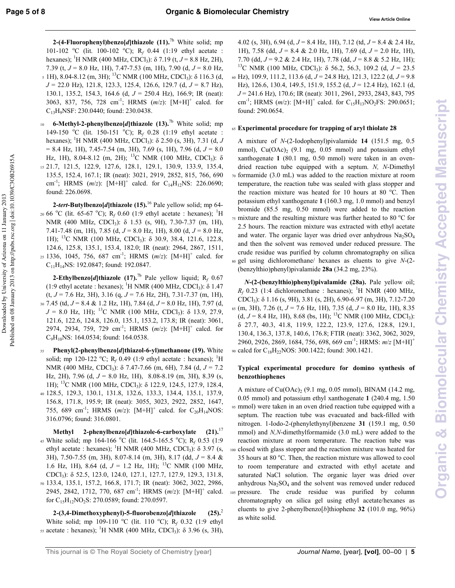Published on 08 January 2013 on http://pubs.rsc.org | doi:10.1039/C3OB26915A

Downloaded by University of Arizona on 11 January 2013

2-(4-Fluorophenyl)benzo[d]thiazole  $(11)^{7b}$  White solid; mp 101-102 °C (lit. 100-102 °C);  $R_f$  0.44 (1:19 ethyl acetate : hexanes); <sup>1</sup>H NMR (400 MHz, CDCl<sub>3</sub>):  $\delta$  7.19 (t,  $J = 8.8$  Hz, 2H), 7.39 (t,  $J = 8.0$  Hz, 1H), 7.47-7.53 (m, 1H), 7.90 (d,  $J = 8.0$  Hz,  $5$  1H), 8.04-8.12 (m, 3H); <sup>13</sup>C NMR (100 MHz, CDCl<sub>3</sub>): δ 116.3 (d,  $J = 22.0$  Hz), 121.8, 123.3, 125.4, 126.6, 129.7 (d,  $J = 8.7$  Hz), 130.1, 135.2, 154.3, 164.6 (d,  $J = 250.4$  Hz), 166.9; IR (neat): 3063, 837, 756, 728 cm<sup>-1</sup>; HRMS  $(m/z)$ :  $[M+H]$ <sup>+</sup> calcd. for  $C_{13}H_9NSF$ : 230.0440; found: 230.0438.

6-Methyl-2-phenylbenzo[d]thiazole  $(13)$ .<sup>7b</sup> White solid; mp  $10<sup>°</sup>$ 149-150 °C (lit. 150-151 °C); R<sub>f</sub> 0.28 (1:19 ethyl acetate : hexanes); <sup>1</sup>H NMR (400 MHz, CDCl<sub>3</sub>):  $\delta$  2.50 (s, 3H), 7.31 (d, J  $= 8.4$  Hz, 1H), 7.45-7.54 (m, 3H), 7.69 (s, 1H), 7.96 (d,  $J = 8.0$ Hz, 1H), 8.04-8.12 (m, 2H); <sup>13</sup>C NMR (100 MHz, CDCl<sub>3</sub>):  $\delta$ 15 21.7, 121.5, 122.9, 127.6, 128.1, 129.1, 130.9, 133.9, 135.4, 135.5, 152.4, 167.1; IR (neat): 3021, 2919, 2852, 815, 766, 690 cm<sup>-1</sup>; HRMS  $(m/z)$ : [M+H]<sup>+</sup> calcd. for C<sub>14</sub>H<sub>12</sub>NS: 226.0690; found: 226.0698.

2-tert-Butylbenzo[d]thiazole  $(15)$ .<sup>16</sup> Pale yellow solid; mp 64-20 66 °C (lit. 65-67 °C); R<sub>f</sub> 0.60 (1:9 ethyl acetate : hexanes); <sup>1</sup>H NMR (400 MHz, CDCl<sub>3</sub>): δ 1.53 (s, 9H), 7.30-7.37 (m, 1H), 7.41-7.48 (m, 1H), 7.85 (d,  $J = 8.0$  Hz, 1H), 8.00 (d,  $J = 8.0$  Hz, 1H); <sup>13</sup>C NMR (100 MHz, CDCl<sub>3</sub>): δ 30.9, 38.4, 121.6, 122.8, 124.6, 125.8, 135.1, 153.4, 182.0; IR (neat): 2964, 2867, 1511, 25 1336, 1045, 756, 687 cm<sup>-1</sup>; HRMS  $(m/z)$ :  $[M+H]^+$  calcd. for  $C_{11}H_{14}NS$ : 192.0847; found: 192.0847.

**2-Ethylbenzo**[d]thiazole (17).<sup>7b</sup> Pale yellow liquid;  $R_f$  0.67 (1:9 ethyl acetate : hexanes); <sup>1</sup>H NMR (400 MHz, CDCl<sub>3</sub>):  $\delta$  1.47  $(t, J = 7.6 \text{ Hz}, 3\text{H}), 3.16 \text{ (q}, J = 7.6 \text{ Hz}, 2\text{H}), 7.31-7.37 \text{ (m, 1H)},$  $_{30}$  7.45 (td,  $J = 8.4 \& 1.2$  Hz, 1H), 7.84 (d,  $J = 8.0$  Hz, 1H), 7.97 (d,  $J = 8.0$  Hz, 1H); <sup>13</sup>C NMR (100 MHz, CDCl<sub>3</sub>):  $\delta$  13.9, 27.9, 121.6, 122.6, 124.8, 126.0, 135.1, 153.2, 173.8; IR (neat): 3061, 2974, 2934, 759, 729 cm<sup>-1</sup>; HRMS  $(m/z)$ :  $[M+H]$ <sup>+</sup> calcd. for  $C_9H_{10}NS$ : 164.0534; found: 164.0538.

Phenyl(2-phenylbenzo[d]thiazol-6-yl)methanone (19). White  $35$ solid; mp 120-122 °C; R<sub>f</sub> 0.49 (1:9 ethyl acetate : hexanes); <sup>1</sup>H NMR (400 MHz, CDCl<sub>3</sub>):  $\delta$  7.47-7.66 (m, 6H), 7.84 (d, J = 7.2 Hz, 2H), 7.96 (d,  $J = 8.0$  Hz, 1H), 8.08-8.19 (m, 3H), 8.39 (s, 1H); <sup>13</sup>C NMR (100 MHz, CDCl<sub>3</sub>): δ 122.9, 124.5, 127.9, 128.4, 40 128.5, 129.3, 130.1, 131.8, 132.6, 133.3, 134.4, 135.1, 137.9, 156.8, 171.8, 195.9; IR (neat): 3055, 3023, 2922, 2852, 1647, 755, 689 cm<sup>-1</sup>; HRMS (m/z):  $[M+H]$ <sup>+</sup> calcd. for C<sub>20</sub>H<sub>14</sub>NOS: 316.0796; found: 316.0801.

 $(21).^{17}$ 2-phenylbenzo[d]thiazole-6-carboxylate Methyl 45 White solid; mp 164-166 °C (lit. 164.5-165.5 °C); R<sub>f</sub> 0.53 (1:9) ethyl acetate : hexanes); <sup>1</sup>H NMR (400 MHz, CDCl<sub>3</sub>):  $\delta$  3.97 (s, 3H), 7.50-7.55 (m, 3H), 8.07-8.14 (m, 3H), 8.17 (dd,  $J = 8.4$  & 1.6 Hz, 1H), 8.64 (d,  $J = 1.2$  Hz, 1H); <sup>13</sup>C NMR (100 MHz, CDCl<sub>3</sub>): δ 52.5, 123.0, 124.0, 127.1, 127.7, 127.9, 129.3, 131.8, 50 133.4, 135.1, 157.2, 166.8, 171.7; IR (neat): 3062, 3022, 2986, 2945, 2842, 1712, 770, 687 cm<sup>-1</sup>; HRMS  $(m/z)$ : [M+H]<sup>+</sup> calcd.

for  $C_{15}H_{12}NO_2S$ : 270.0589; found: 270.0597.

 $(25).^{2}$ 2-(3,4-Dimethoxyphenyl)-5-fluorobenzo[d]thiazole White solid; mp 109-110 °C (lit. 110 °C); R<sub>f</sub> 0.32 (1:9 ethyl 55 acetate : hexanes); <sup>1</sup>H NMR (400 MHz, CDCl<sub>3</sub>):  $\delta$  3.96 (s, 3H),

4.02 (s, 3H), 6.94 (d,  $J = 8.4$  Hz, 1H), 7.12 (td,  $J = 8.4$  & 2.4 Hz, 1H), 7.58 (dd,  $J = 8.4 \& 2.0$  Hz, 1H), 7.69 (d,  $J = 2.0$  Hz, 1H), 7.70 (dd,  $J = 9.2 \& 2.4$  Hz, 1H), 7.78 (dd,  $J = 8.8 \& 5.2$  Hz, 1H); <sup>13</sup>C NMR (100 MHz, CDCl<sub>3</sub>):  $\delta$  56.2, 56.3, 109.2 (d, J = 23.5 60 Hz), 109.9, 111.2, 113.6 (d,  $J = 24.8$  Hz), 121.3, 122.2 (d,  $J = 9.8$ Hz), 126.6, 130.4, 149.5, 151.9, 155.2 (d,  $J = 12.4$  Hz), 162.1 (d,  $J = 241.6$  Hz), 170.6; IR (neat): 3011, 2961, 2933, 2843, 843, 795 cm<sup>-1</sup>; HRMS (*m/z*): [M+H]<sup>+</sup> calcd. for C<sub>15</sub>H<sub>13</sub>NO<sub>2</sub>FS: 290.0651; found: 290.0654.

#### 65 Experimental procedure for trapping of aryl thiolate 28

A mixture of N-(2-Iodophenyl) pivalamide 14 (151.5 mg, 0.5 mmol),  $Cu(OAc)_{2}$  (9.1 mg, 0.05 mmol) and potassium ethyl xanthogenate 1 (80.1 mg, 0.50 mmol) were taken in an ovendried reaction tube equipped with a septum.  $N$ ,  $N$ -Dimethyl 70 formamide (3.0 mL) was added to the reaction mixture at room temperature, the reaction tube was sealed with glass stopper and the reaction mixture was heated for 10 hours at 80 °C. Then potassium ethyl xanthogenate 1 (160.3 mg, 1.0 mmol) and benzyl bromide (85.5 mg, 0.50 mmol) were added to the reaction  $75$  mixture and the resulting mixture was further heated to 80  $^{\circ}$ C for 2.5 hours. The reaction mixture was extracted with ethyl acetate and water. The organic layer was dried over anhydrous  $Na<sub>2</sub>SO<sub>4</sub>$ and then the solvent was removed under reduced pressure. The crude residue was purified by column chromatography on silica so gel using dichloromethane/ hexanes as eluents to give  $N-(2-$ (benzylthio)phenyl)pivalamide 28a (34.2 mg, 23%).

 $N-(2-(\text{benzylthio})phenyl)$ pivalamide (28a). Pale yellow oil;  $R_f$  0.23 (1:4 dichloromethane : hexanes); <sup>1</sup>H NMR (400 MHz, CDCl<sub>3</sub>:  $\delta$  1.16 (s, 9H), 3.81 (s, 2H), 6.90-6.97 (m, 3H), 7.12-7.20 ss (m. 3H), 7.26 (t,  $J = 7.6$  Hz, 1H), 7.35 (d,  $J = 8.0$  Hz, 1H), 8.35  $(d, J = 8.4 \text{ Hz}, 1H), 8.68 \text{ (bs, 1H)}; ^{13}C \text{ NMR } (100 \text{ MHz}, \text{CDCl}_3).$ 8 27.7, 40.3, 41.8, 119.9, 122.2, 123.9, 127.6, 128.8, 129.1, 130.4, 136.3, 137.8, 140.6, 176.8; FTIR (neat): 3362, 3062, 3029, 2960, 2926, 2869, 1684, 756, 698, 669 cm<sup>-1</sup>; HRMS: m/z [M+H]<sup>+</sup> 90 calcd for C<sub>18</sub>H<sub>22</sub>NOS: 300.1422; found: 300.1421.

#### Typical experimental procedure for domino synthesis of benzothiophenes

A mixture of  $Cu(OAc)_{2}$  (9.1 mg, 0.05 mmol), BINAM (14.2 mg, 0.05 mmol) and potassium ethyl xanthogenate 1 (240.4 mg, 1.50 95 mmol) were taken in an oven dried reaction tube equipped with a septum. The reaction tube was evacuated and back-filled with nitrogen. 1-Iodo-2-(phenylethynyl)benzene 31 (159.1 mg, 0.50 mmol) and  $N$ ,  $N$ -dimethylformamide (3.0 mL) were added to the reaction mixture at room temperature. The reaction tube was 100 closed with glass stopper and the reaction mixture was heated for 35 hours at 80 °C. Then, the reaction mixture was allowed to cool to room temperature and extracted with ethyl acetate and saturated NaCl solution. The organic layer was dried over anhydrous  $Na<sub>2</sub>SO<sub>4</sub>$  and the solvent was removed under reduced 105 pressure. The crude residue was purified by column chromatography on silica gel using ethyl acetate/hexanes as eluents to give 2-phenylbenzo $[b]$ thiophene 32 (101.0 mg, 96%) as white solid.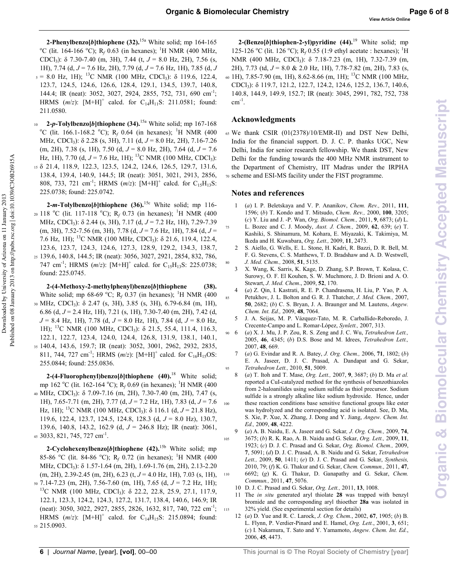$75$ 

85

115

2-Phenylbenzo[b]thiophene (32).<sup>15a</sup> White solid; mp 164-165 <sup>o</sup>C (lit. 164-166 <sup>o</sup>C); R<sub>f</sub> 0.63 (in hexanes); <sup>1</sup>H NMR (400 MHz, CDCl<sub>3</sub>):  $\delta$  7.30-7.40 (m, 3H), 7.44 (t,  $J = 8.0$  Hz, 2H), 7.56 (s, 1H), 7.74 (d,  $J = 7.6$  Hz, 2H), 7.79 (d,  $J = 7.6$  Hz, 1H), 7.85 (d, J  $_5 = 8.0$  Hz, 1H); <sup>13</sup>C NMR (100 MHz, CDCl<sub>3</sub>):  $\delta$  119.6, 122.4, 123.7, 124.5, 124.6, 126.6, 128.4, 129.1, 134.5, 139.7, 140.8, 144.4; IR (neat): 3052, 3027, 2924, 2855, 752, 731, 690 cm<sup>-1</sup>; HRMS  $(m/z)$ :  $[M+H]^+$  calcd. for  $C_{14}H_{11}S$ : 211.0581; found: 211.0580.

2-p-Tolylbenzo[b]thiophene  $(34)$ .<sup>15a</sup> White solid; mp 167-168  $10<sup>°</sup>$ <sup>o</sup>C (lit. 166.1-168.2 <sup>o</sup>C); R<sub>f</sub> 0.64 (in hexanes); <sup>1</sup>H NMR (400 MHz, CDCl<sub>3</sub>):  $\delta$  2.28 (s, 3H), 7.11 (d,  $J = 8.0$  Hz, 2H), 7.16-7.26 (m, 2H), 7.38 (s, 1H), 7.50 (d,  $J = 8.0$  Hz, 2H), 7.64 (d,  $J = 7.6$ Hz, 1H), 7.70 (d,  $J = 7.6$  Hz, 1H); <sup>13</sup>C NMR (100 MHz, CDCl<sub>3</sub>): 15  $\delta$  21.4, 118.9, 122.3, 123.5, 124.2, 124.6, 126.5, 129.7, 131.6, 138.4, 139.4, 140.9, 144.5; IR (neat): 3051, 3021, 2913, 2856, 808, 733, 721 cm<sup>-1</sup>; HRMS (m/z): [M+H]<sup>+</sup> calcd. for C<sub>15</sub>H<sub>13</sub>S: 225.0738; found: 225.0742.

2-m-Tolylbenzo[b]thiophene  $(36)$ .<sup>15c</sup> White solid; mp 116-20 118 °C (lit. 117-118 °C); R<sub>f</sub> 0.73 (in hexanes); <sup>1</sup>H NMR (400 MHz, CDCl<sub>3</sub>): δ 2.44 (s, 3H), 7.17 (d, J = 7.2 Hz, 1H), 7.29-7.39 (m, 3H), 7.52-7.56 (m, 3H), 7.78 (d,  $J = 7.6$  Hz, 1H), 7.84 (d,  $J =$ 7.6 Hz, 1H); <sup>13</sup>C NMR (100 MHz, CDCl<sub>3</sub>): δ 21.6, 119.4, 122.4, 123.6, 123.7, 124.3, 124.6, 127.3, 128.9, 129.2, 134.3, 138.7, 25 139.6, 140.8, 144.5; IR (neat): 3056, 3027, 2921, 2854, 832, 786, 747 cm<sup>-1</sup>; HRMS (*m/z*): [M+H]<sup>+</sup> calcd. for C<sub>15</sub>H<sub>13</sub>S: 225.0738; found: 225.0745.

Published on 08 January 2013 on http://pubs.rsc.org | doi:10.1039/C3OB26915A

Downloaded by University of Arizona on 11 January 2013

2-(4-Methoxy-2-methylphenyl)benzo[b]thiophene  $(38).$ White solid; mp 68-69 °C;  $R_f$  0.37 (in hexanes); <sup>1</sup>H NMR (400 30 MHz, CDCl<sub>3</sub>): δ 2.47 (s, 3H), 3.85 (s, 3H), 6.79-6.84 (m, 1H), 6.86 (d,  $J = 2.4$  Hz, 1H), 7.21 (s, 1H), 7.30-7.40 (m, 2H), 7.42 (d,  $J = 8.4$  Hz, 1H), 7.78 (d,  $J = 8.0$  Hz, 1H), 7.84 (d,  $J = 8.0$  Hz, 1H); <sup>13</sup>C NMR (100 MHz, CDCl<sub>3</sub>):  $\delta$  21.5, 55.4, 111.4, 116.3, 122.1, 122.7, 123.4, 124.0, 124.4, 126.8, 131.9, 138.1, 140.1, 35 140.4, 143.6, 159.7; IR (neat): 3052, 3001, 2962, 2932, 2835, 811, 744, 727 cm<sup>-1</sup>; HRMS (*m/z*):  $[M+H]^+$  calcd. for C<sub>16</sub>H<sub>15</sub>OS: 255.0844; found: 255.0836.

2-(4-Fluorophenyl)benzo[b]thiophene  $(40).$ <sup>18</sup> White solid; mp 162 °C (lit. 162-164 °C); R<sub>f</sub> 0.69 (in hexanes); <sup>1</sup>H NMR (400 40 MHz, CDCl<sub>3</sub>): δ 7.09-7.16 (m, 2H), 7.30-7.40 (m, 2H), 7.47 (s, 1H), 7.65-7.71 (m, 2H), 7.77 (d,  $J = 7.2$  Hz, 1H), 7.83 (d,  $J = 7.6$ Hz, 1H); <sup>13</sup>C NMR (100 MHz, CDCl<sub>3</sub>):  $\delta$  116.1 (d, J = 21.8 Hz), 119.6, 122.4, 123.7, 124.5, 124.8, 128.3 (d,  $J = 8.0$  Hz), 130.7, 139.6, 140.8, 143.2, 162.9 (d,  $J = 246.8$  Hz); IR (neat): 3061, 45 3033, 821, 745, 727 cm<sup>-1</sup>.

2-Cyclohexenylbenzo[b]thiophene  $(42)$ .<sup>15b</sup> White solid; mp 85-86 °C (lit. 84-86 °C); R<sub>f</sub> 0.72 (in hexanes); <sup>1</sup>H NMR (400 MHz, CDCl<sub>3</sub>): δ 1.57-1.64 (m, 2H), 1.69-1.76 (m, 2H), 2.13-2.20  $(m, 2H), 2.39-2.45$   $(m, 2H), 6.23$   $(t, J = 4.0$  Hz, 1H $), 7.03$   $(s, 1H),$  $50$  7.14-7.23 (m, 2H), 7.56-7.60 (m, 1H), 7.65 (d,  $J = 7.2$  Hz, 1H); <sup>13</sup>C NMR (100 MHz, CDCl<sub>3</sub>):  $\delta$  22.2, 22.8, 25.9, 27.1, 117.9, 122.1, 123.3, 124.2, 124.3, 127.2, 131.7, 138.4, 140.6, 146.9; IR (neat): 3050, 3022, 2927, 2855, 2826, 1632, 817, 740, 722 cm<sup>-1</sup>; HRMS  $(m/z)$ :  $[M+H]^+$  calcd. for C<sub>14</sub>H<sub>15</sub>S: 215.0894; found: 55 215.0903.

2-(Benzo[b]thiophen-2-yl)pyridine  $(44).^{19}$  White solid; mp 125-126 °C (lit. 126 °C); R<sub>f</sub> 0.55 (1:9 ethyl acetate : hexanes); <sup>1</sup>H NMR (400 MHz, CDCl<sub>3</sub>): δ 7.18-7.23 (m, 1H), 7.32-7.39 (m, 2H), 7.73 (td,  $J = 8.0 \& 2.0$  Hz, 1H), 7.78-7.82 (m, 2H), 7.83 (s, 60 1H), 7.85-7.90 (m, 1H), 8.62-8.66 (m, 1H); <sup>13</sup>C NMR (100 MHz, CDCl<sub>3</sub>):  $\delta$  119.7, 121.2, 122.7, 124.2, 124.6, 125.2, 136.7, 140.6, 140.8, 144.9, 149.9, 152.7; IR (neat): 3045, 2991, 782, 752, 738  $cm^{-1}$ .

#### **Acknowledgments**

65 We thank CSIR (01(2378)/10/EMR-II) and DST New Delhi, India for the financial support. D. J. C. P. thanks UGC, New Delhi, India for senior research fellowship. We thank DST, New Delhi for the funding towards the 400 MHz NMR instrument to the Department of Chemistry, IIT Madras under the IRPHA 70 scheme and ESI-MS facility under the FIST programme.

#### Notes and references

- (a) I. P. Beletskaya and V. P. Ananikov, Chem. Rev., 2011, 111,  $\mathbf{1}$ 1596; (b) T. Kondo and T. Mitsudo, Chem. Rev., 2000, 100, 3205; (c) Y. Liu and J. -P. Wan, Org. Biomol. Chem., 2011, 9, 6873; (d) L. L. Bozec and C. J. Moody, Aust. J. Chem., 2009, 62, 639; (e) T.
- Kashiki, S. Shinamura, M. Kohara, E. Miyazaki, K. Takimiya, M. Ikeda and H. Kuwabara, Org. Lett., 2009, 11, 2473. S. Aiello, G. Wells, E. L. Stone, H. Kadri, R. Bazzi, D. R. Bell, M.  $\mathfrak{D}$
- F. G. Stevens, C. S. Matthews, T. D. Bradshaw and A. D. Westwell, J. Med. Chem., 2008, 51, 5135.
- X. Wang, K. Sarris, K. Kage, D. Zhang, S.P. Brown, T. Kolasa, C.  $\mathcal{L}$ Surowy, O. F. El Kouhen, S. W. Muchmore, J. D. Brioni and A. O. Stewart, J. Med. Chem., 2009, 52, 170.
- (a) Z. Qin, I. Kastrati, R. E. P. Chandrasena, H. Liu, P. Yao, P. A.  $\overline{4}$ Petukhov, J. L. Bolton and G. R. J. Thatcher, J. Med. Chem., 2007, 50, 2682; (b) C. S. Bryan, J. A. Braunger and M. Lautens, Angew. Chem. Int. Ed., 2009, 48, 7064.
- J. A. Seijas, M. P. Vázquez-Tato, M. R. Carballido-Reboredo, J. 5 Crecente-Campo and L. Romar-López, Synlett., 2007, 313.
- $90\quad 6$ (a) X. J. Mu, J. P. Zou, R. S. Zeng and J. C. Wu, Tetrahedron Lett., 2005, 46, 4345; (b) D.S. Bose and M. Idrees, Tetrahedron Lett., 2007.48.669.
	- $\overline{7}$ (a) G. Evindar and R. A. Batey, J. Org. Chem., 2006, 71, 1802; (b) E. A. Jaseer, D. J. C. Prasad, A. Dandapat and G. Sekar, Tetrahedron Lett., 2010, 51, 5009.
- (a) T. Itoh and T. Mase, Org. Lett., 2007, 9, 3687; (b) D. Ma et al.  $8\phantom{1}$ reported a CuI-catalyzed method for the synthesis of benzothiazoles from 2-haloanilides using sodium sulfide as thiol precursor. Sodium sulfide is a strongly alkaline like sodium hydroxide. Hence, under these reaction conditions base sensitive functional groups like ester 100 was hydrolyzed and the corresponding acid is isolated. See, D. Ma. S. Xie, P. Xue, X. Zhang, J. Dong and Y. Jiang, Angew. Chem. Int. Ed., 2009, 48, 4222.
- $(a)$  A. B. Naidu, E. A. Jaseer and G. Sekar, J. Org. Chem., 2009, 74, 105 3675; (b) R. K. Rao, A. B. Naidu and G. Sekar, Org. Lett., 2009, 11, 1923; (c) D. J. C. Prasad and G. Sekar, Org. Biomol. Chem., 2009, 7, 5091; (d) D. J. C. Prasad, A. B. Naidu and G. Sekar, Tetrahedron Lett., 2009, 50, 1411; (e) D. J. C. Prasad and G. Sekar, Synthesis, 2010, 79; (f) K. G. Thakur and G. Sekar, Chem. Commun., 2011, 47, 6692; (g) K. G. Thakur, D. Ganapathy and G. Sekar, Chem. Commun., 2011, 47, 5076.
	- 10 D. J. C. Prasad and G. Sekar, Org. Lett., 2011, 13, 1008.
	- 11 The in situ generated aryl thiolate 28 was trapped with benzyl bromide and the corresponding aryl thioether 28a was isolated in 32% yield. (See experimental section for details)
	- 12 (a) D. Yue and R. C. Larock, J. Org. Chem., 2002, 67, 1905; (b) B. L. Flynn, P. Verdier-Pinard and E. Hamel, Org. Lett., 2001, 3, 651; (c) I. Nakamura, T. Sato and Y. Yamamoto, Angew. Chem. Int. Ed., 2006, 45, 4473.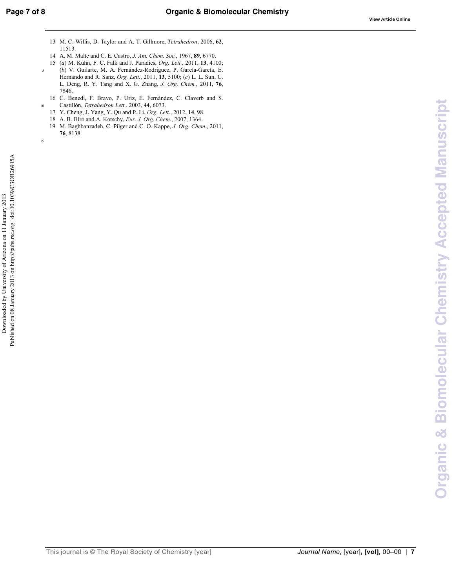- 13 M. C. Willis, D. Taylor and A. T. Gillmore, Tetrahedron, 2006, 62, 11513.
- 14 A. M. Malte and C. E. Castro, J. Am. Chem. Soc., 1967, 89, 6770.
- 15 (a) M. Kuhn, F. C. Falk and J. Paradies, Org. Lett., 2011, 13, 4100; (b) V. Guilarte, M. A. Fernández-Rodríguez, P. García-García, E.
- Hernando and R. Sanz, Org. Lett., 2011, 13, 5100; (c) L. L. Sun, C. L. Deng, R. Y. Tang and X. G. Zhang, J. Org. Chem., 2011, 76, 7546.
- 16 C. Benedí, F. Bravo, P. Uriz, E. Fernández, C. Claverb and S. Castillón, Tetrahedron Lett., 2003, 44, 6073.
- 17 Y. Cheng, J. Yang, Y. Qu and P. Li, Org. Lett., 2012, 14, 98.
- 18 A. B. Bíró and A. Kotschy, Eur. J. Org. Chem., 2007, 1364. 19 M. Baghbanzadeh, C. Pilger and C. O. Kappe, J. Org. Chem., 2011,
- 76, 8138.

 $\overline{\mathbf{5}}$ 

 $10\,$ 

This journal is © The Royal Society of Chemistry [year]

Journal Name, [year], [vol], 00-00 | 7